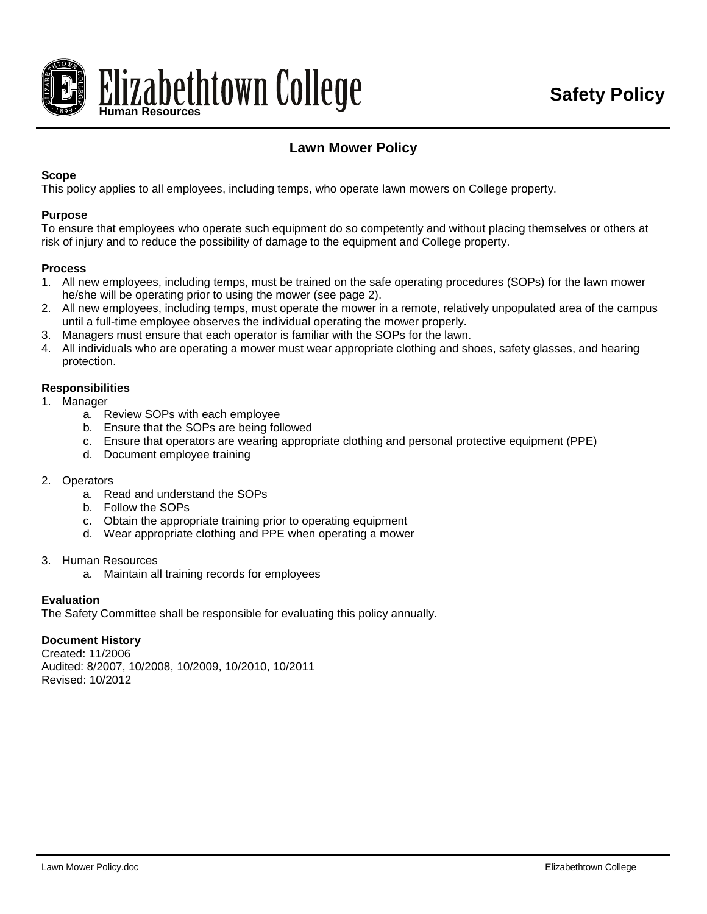

# **Lawn Mower Policy**

### **Scope**

This policy applies to all employees, including temps, who operate lawn mowers on College property.

#### **Purpose**

To ensure that employees who operate such equipment do so competently and without placing themselves or others at risk of injury and to reduce the possibility of damage to the equipment and College property.

#### **Process**

- 1. All new employees, including temps, must be trained on the safe operating procedures (SOPs) for the lawn mower he/she will be operating prior to using the mower (see page 2).
- 2. All new employees, including temps, must operate the mower in a remote, relatively unpopulated area of the campus until a full-time employee observes the individual operating the mower properly.
- 3. Managers must ensure that each operator is familiar with the SOPs for the lawn.
- 4. All individuals who are operating a mower must wear appropriate clothing and shoes, safety glasses, and hearing protection.

#### **Responsibilities**

- 1. Manager
	- a. Review SOPs with each employee
	- b. Ensure that the SOPs are being followed
	- c. Ensure that operators are wearing appropriate clothing and personal protective equipment (PPE)
	- d. Document employee training

#### 2. Operators

- a. Read and understand the SOPs
- b. Follow the SOPs
- c. Obtain the appropriate training prior to operating equipment
- d. Wear appropriate clothing and PPE when operating a mower
- 3. Human Resources
	- a. Maintain all training records for employees

#### **Evaluation**

The Safety Committee shall be responsible for evaluating this policy annually.

#### **Document History**

Created: 11/2006 Audited: 8/2007, 10/2008, 10/2009, 10/2010, 10/2011 Revised: 10/2012